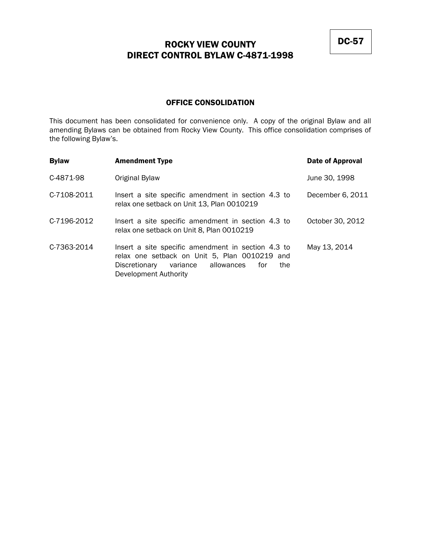### OFFICE CONSOLIDATION

This document has been consolidated for convenience only. A copy of the original Bylaw and all amending Bylaws can be obtained from Rocky View County. This office consolidation comprises of the following Bylaw's.

| <b>Bylaw</b> | <b>Amendment Type</b>                                                                                                                                                              | <b>Date of Approval</b> |
|--------------|------------------------------------------------------------------------------------------------------------------------------------------------------------------------------------|-------------------------|
| C-4871-98    | Original Bylaw                                                                                                                                                                     | June 30, 1998           |
| C-7108-2011  | Insert a site specific amendment in section 4.3 to<br>relax one setback on Unit 13, Plan 0010219                                                                                   | December 6, 2011        |
| C-7196-2012  | Insert a site specific amendment in section 4.3 to<br>relax one setback on Unit 8, Plan 0010219                                                                                    | October 30, 2012        |
| C-7363-2014  | Insert a site specific amendment in section 4.3 to<br>relax one setback on Unit 5, Plan 0010219 and<br>variance allowances<br>Discretionary<br>the<br>for<br>Development Authority | May 13, 2014            |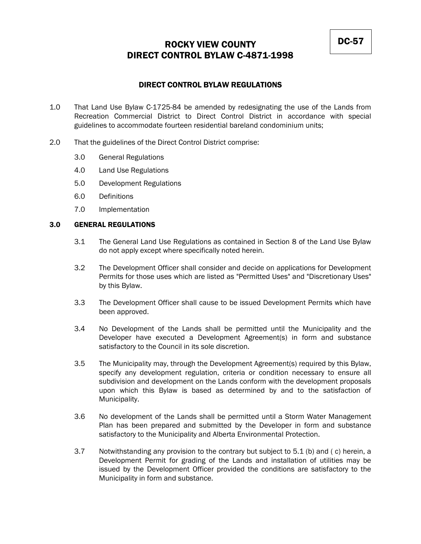### DIRECT CONTROL BYLAW REGULATIONS

- 1.0 That Land Use Bylaw C-1725-84 be amended by redesignating the use of the Lands from Recreation Commercial District to Direct Control District in accordance with special guidelines to accommodate fourteen residential bareland condominium units;
- 2.0 That the guidelines of the Direct Control District comprise:
	- 3.0 General Regulations
	- 4.0 Land Use Regulations
	- 5.0 Development Regulations
	- 6.0 Definitions
	- 7.0 Implementation

### 3.0 GENERAL REGULATIONS

- 3.1 The General Land Use Regulations as contained in Section 8 of the Land Use Bylaw do not apply except where specifically noted herein.
- 3.2 The Development Officer shall consider and decide on applications for Development Permits for those uses which are listed as "Permitted Uses" and "Discretionary Uses" by this Bylaw.
- 3.3 The Development Officer shall cause to be issued Development Permits which have been approved.
- 3.4 No Development of the Lands shall be permitted until the Municipality and the Developer have executed a Development Agreement(s) in form and substance satisfactory to the Council in its sole discretion.
- 3.5 The Municipality may, through the Development Agreement(s) required by this Bylaw, specify any development regulation, criteria or condition necessary to ensure all subdivision and development on the Lands conform with the development proposals upon which this Bylaw is based as determined by and to the satisfaction of Municipality.
- 3.6 No development of the Lands shall be permitted until a Storm Water Management Plan has been prepared and submitted by the Developer in form and substance satisfactory to the Municipality and Alberta Environmental Protection.
- 3.7 Notwithstanding any provision to the contrary but subject to 5.1 (b) and ( c) herein, a Development Permit for grading of the Lands and installation of utilities may be issued by the Development Officer provided the conditions are satisfactory to the Municipality in form and substance.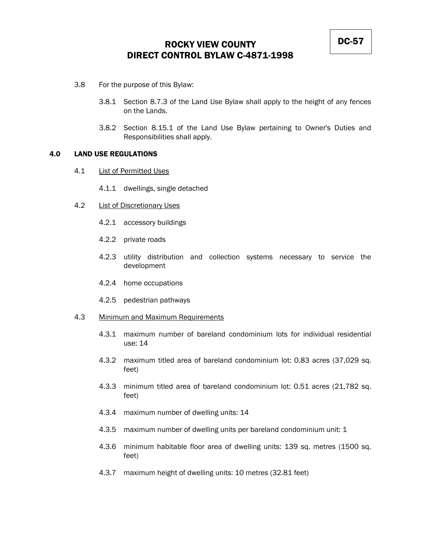- 3.8 For the purpose of this Bylaw:
	- 3.8.1 Section 8.7.3 of the Land Use Bylaw shall apply to the height of any fences on the Lands.
	- 3.8.2 Section 8.15.1 of the Land Use Bylaw pertaining to Owner's Duties and Responsibilities shall apply.

#### 4.0 LAND USE REGULATIONS

- 4.1 List of Permitted Uses
	- 4.1.1 dwellings, single detached
- 4.2 **List of Discretionary Uses** 
	- 4.2.1 accessory buildings
	- 4.2.2 private roads
	- 4.2.3 utility distribution and collection systems necessary to service the development
	- 4.2.4 home occupations
	- 4.2.5 pedestrian pathways
- 4.3 Minimum and Maximum Requirements
	- 4.3.1 maximum number of bareland condominium lots for individual residential use: 14
	- 4.3.2 maximum titled area of bareland condominium lot: 0.83 acres (37,029 sq. feet)
	- 4.3.3 minimum titled area of bareland condominium lot: 0.51 acres (21,782 sq. feet)
	- 4.3.4 maximum number of dwelling units: 14
	- 4.3.5 maximum number of dwelling units per bareland condominium unit: 1
	- 4.3.6 minimum habitable floor area of dwelling units: 139 sq. metres (1500 sq. feet)
	- 4.3.7 maximum height of dwelling units: 10 metres (32.81 feet)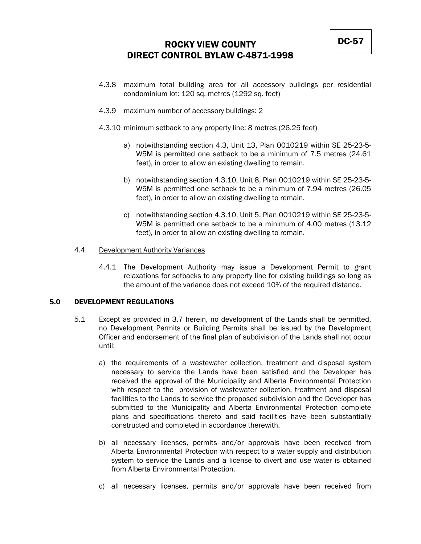- 4.3.8 maximum total building area for all accessory buildings per residential condominium lot: 120 sq. metres (1292 sq. feet)
- 4.3.9 maximum number of accessory buildings: 2
- 4.3.10 minimum setback to any property line: 8 metres (26.25 feet)
	- a) notwithstanding section 4.3, Unit 13, Plan 0010219 within SE 25-23-5- W5M is permitted one setback to be a minimum of 7.5 metres (24.61 feet), in order to allow an existing dwelling to remain.
	- b) notwithstanding section 4.3.10, Unit 8, Plan 0010219 within SE 25-23-5- W5M is permitted one setback to be a minimum of 7.94 metres (26.05 feet), in order to allow an existing dwelling to remain.
	- c) notwithstanding section 4.3.10, Unit 5, Plan 0010219 within SE 25-23-5- W5M is permitted one setback to be a minimum of 4.00 metres (13.12 feet), in order to allow an existing dwelling to remain.

#### 4.4 Development Authority Variances

4.4.1 The Development Authority may issue a Development Permit to grant relaxations for setbacks to any property line for existing buildings so long as the amount of the variance does not exceed 10% of the required distance.

#### 5.0 DEVELOPMENT REGULATIONS

- 5.1 Except as provided in 3.7 herein, no development of the Lands shall be permitted, no Development Permits or Building Permits shall be issued by the Development Officer and endorsement of the final plan of subdivision of the Lands shall not occur until:
	- a) the requirements of a wastewater collection, treatment and disposal system necessary to service the Lands have been satisfied and the Developer has received the approval of the Municipality and Alberta Environmental Protection with respect to the provision of wastewater collection, treatment and disposal facilities to the Lands to service the proposed subdivision and the Developer has submitted to the Municipality and Alberta Environmental Protection complete plans and specifications thereto and said facilities have been substantially constructed and completed in accordance therewith.
	- b) all necessary licenses, permits and/or approvals have been received from Alberta Environmental Protection with respect to a water supply and distribution system to service the Lands and a license to divert and use water is obtained from Alberta Environmental Protection.
	- c) all necessary licenses, permits and/or approvals have been received from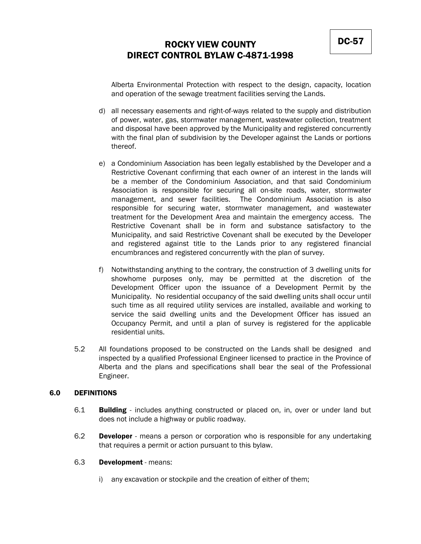Alberta Environmental Protection with respect to the design, capacity, location and operation of the sewage treatment facilities serving the Lands.

- d) all necessary easements and right-of-ways related to the supply and distribution of power, water, gas, stormwater management, wastewater collection, treatment and disposal have been approved by the Municipality and registered concurrently with the final plan of subdivision by the Developer against the Lands or portions thereof.
- e) a Condominium Association has been legally established by the Developer and a Restrictive Covenant confirming that each owner of an interest in the lands will be a member of the Condominium Association, and that said Condominium Association is responsible for securing all on-site roads, water, stormwater management, and sewer facilities. The Condominium Association is also responsible for securing water, stormwater management, and wastewater treatment for the Development Area and maintain the emergency access. The Restrictive Covenant shall be in form and substance satisfactory to the Municipality, and said Restrictive Covenant shall be executed by the Developer and registered against title to the Lands prior to any registered financial encumbrances and registered concurrently with the plan of survey.
- f) Notwithstanding anything to the contrary, the construction of 3 dwelling units for showhome purposes only, may be permitted at the discretion of the Development Officer upon the issuance of a Development Permit by the Municipality. No residential occupancy of the said dwelling units shall occur until such time as all required utility services are installed, available and working to service the said dwelling units and the Development Officer has issued an Occupancy Permit, and until a plan of survey is registered for the applicable residential units.
- 5.2 All foundations proposed to be constructed on the Lands shall be designed and inspected by a qualified Professional Engineer licensed to practice in the Province of Alberta and the plans and specifications shall bear the seal of the Professional Engineer.

#### 6.0 DEFINITIONS

- 6.1 **Building** includes anything constructed or placed on, in, over or under land but does not include a highway or public roadway.
- 6.2 **Developer** means a person or corporation who is responsible for any undertaking that requires a permit or action pursuant to this bylaw.

#### 6.3 Development - means:

i) any excavation or stockpile and the creation of either of them;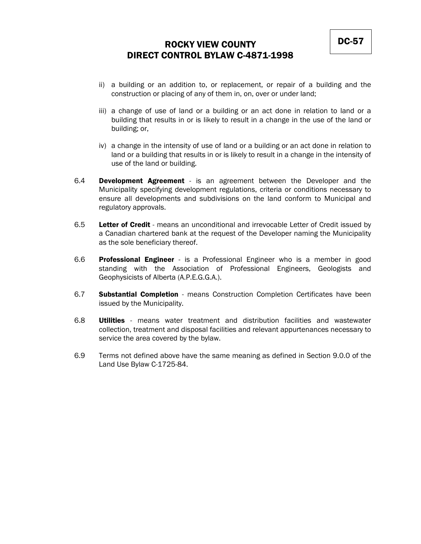- ii) a building or an addition to, or replacement, or repair of a building and the construction or placing of any of them in, on, over or under land;
- iii) a change of use of land or a building or an act done in relation to land or a building that results in or is likely to result in a change in the use of the land or building; or,
- iv) a change in the intensity of use of land or a building or an act done in relation to land or a building that results in or is likely to result in a change in the intensity of use of the land or building.
- 6.4 **Development Agreement** is an agreement between the Developer and the Municipality specifying development regulations, criteria or conditions necessary to ensure all developments and subdivisions on the land conform to Municipal and regulatory approvals.
- 6.5 Letter of Credit means an unconditional and irrevocable Letter of Credit issued by a Canadian chartered bank at the request of the Developer naming the Municipality as the sole beneficiary thereof.
- 6.6 **Professional Engineer** is a Professional Engineer who is a member in good standing with the Association of Professional Engineers, Geologists and Geophysicists of Alberta (A.P.E.G.G.A.).
- 6.7 **Substantial Completion** means Construction Completion Certificates have been issued by the Municipality.
- 6.8 **Utilities** means water treatment and distribution facilities and wastewater collection, treatment and disposal facilities and relevant appurtenances necessary to service the area covered by the bylaw.
- 6.9 Terms not defined above have the same meaning as defined in Section 9.0.0 of the Land Use Bylaw C-1725-84.